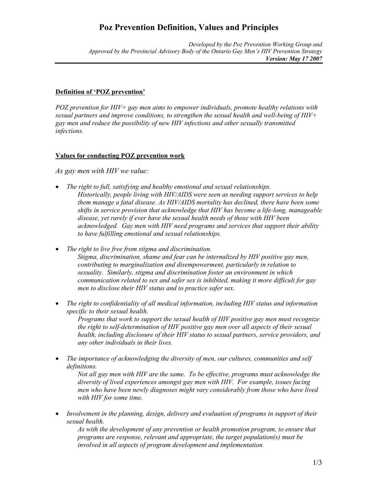## **Poz Prevention Definition, Values and Principles**

*Developed by the Poz Prevention Working Group and Approved by the Provincial Advisory Body of the Ontario Gay Men's HIV Prevention Strategy Version: May 17 2007*

## **Definition of 'POZ prevention'**

*POZ prevention for HIV+ gay men aims to empower individuals, promote healthy relations with sexual partners and improve conditions, to strengthen the sexual health and well-being of HIV+ gay men and reduce the possibility of new HIV infections and other sexually transmitted infections.* 

## **Values for conducting POZ prevention work**

*As gay men with HIV we value:* 

- *The right to full, satisfying and healthy emotional and sexual relationships. Historically, people living with HIV/AIDS were seen as needing support services to help them manage a fatal disease. As HIV/AIDS mortality has declined, there have been some shifts in service provision that acknowledge that HIV has become a life-long, manageable disease, yet rarely if ever have the sexual health needs of those with HIV been acknowledged. Gay men with HIV need programs and services that support their ability to have fulfilling emotional and sexual relationships.*
- *The right to live free from stigma and discrimination. Stigma, discrimination, shame and fear can be internalized by HIV positive gay men, contributing to marginalization and disempowerment, particularly in relation to sexuality. Similarly, stigma and discrimination foster an environment in which communication related to sex and safer sex is inhibited, making it more difficult for gay men to disclose their HIV status and to practice safer sex.*
- *The right to confidentiality of all medical information, including HIV status and information specific to their sexual health.*

*Programs that work to support the sexual health of HIV positive gay men must recognize the right to self-determination of HIV positive gay men over all aspects of their sexual health, including disclosure of their HIV status to sexual partners, service providers, and any other individuals in their lives.* 

• *The importance of acknowledging the diversity of men, our cultures, communities and self definitions.* 

*Not all gay men with HIV are the same. To be effective, programs must acknowledge the diversity of lived experiences amongst gay men with HIV. For example, issues facing men who have been newly diagnoses might vary considerably from those who have lived with HIV for some time.* 

• *Involvement in the planning, design, delivery and evaluation of programs in support of their sexual health.* 

*As with the development of any prevention or health promotion program, to ensure that programs are response, relevant and appropriate, the target population(s) must be involved in all aspects of program development and implementation.*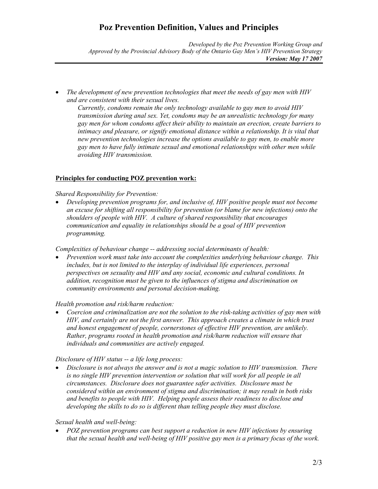# **Poz Prevention Definition, Values and Principles**

*Developed by the Poz Prevention Working Group and Approved by the Provincial Advisory Body of the Ontario Gay Men's HIV Prevention Strategy Version: May 17 2007*

• *The development of new prevention technologies that meet the needs of gay men with HIV and are consistent with their sexual lives.* 

*Currently, condoms remain the only technology available to gay men to avoid HIV transmission during anal sex. Yet, condoms may be an unrealistic technology for many gay men for whom condoms affect their ability to maintain an erection, create barriers to intimacy and pleasure, or signify emotional distance within a relationship. It is vital that new prevention technologies increase the options available to gay men, to enable more gay men to have fully intimate sexual and emotional relationships with other men while avoiding HIV transmission.* 

## **Principles for conducting POZ prevention work:**

## *Shared Responsibility for Prevention:*

• *Developing prevention programs for, and inclusive of, HIV positive people must not become an excuse for shifting all responsibility for prevention (or blame for new infections) onto the shoulders of people with HIV. A culture of shared responsibility that encourages communication and equality in relationships should be a goal of HIV prevention programming.* 

*Complexities of behaviour change -- addressing social determinants of health:* 

• *Prevention work must take into account the complexities underlying behaviour change. This includes, but is not limited to the interplay of individual life experiences, personal perspectives on sexuality and HIV and any social, economic and cultural conditions. In addition, recognition must be given to the influences of stigma and discrimination on community environments and personal decision-making.*

#### *Health promotion and risk/harm reduction:*

• *Coercion and criminalization are not the solution to the risk-taking activities of gay men with HIV, and certainly are not the first answer. This approach creates a climate in which trust and honest engagement of people, cornerstones of effective HIV prevention, are unlikely. Rather, programs rooted in health promotion and risk/harm reduction will ensure that individuals and communities are actively engaged.* 

#### *Disclosure of HIV status -- a life long process:*

• *Disclosure is not always the answer and is not a magic solution to HIV transmission. There*  is no single HIV prevention intervention or solution that will work for all people in all *circumstances. Disclosure does not guarantee safer activities. Disclosure must be considered within an environment of stigma and discrimination; it may result in both risks and benefits to people with HIV. Helping people assess their readiness to disclose and developing the skills to do so is different than telling people they must disclose.* 

#### *Sexual health and well-being:*

• *POZ prevention programs can best support a reduction in new HIV infections by ensuring that the sexual health and well-being of HIV positive gay men is a primary focus of the work.*